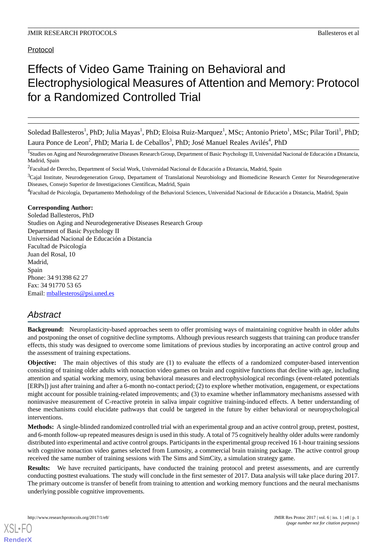# Protocol

# Effects of Video Game Training on Behavioral and Electrophysiological Measures of Attention and Memory: Protocol for a Randomized Controlled Trial

Soledad Ballesteros<sup>1</sup>, PhD; Julia Mayas<sup>1</sup>, PhD; Eloisa Ruiz-Marquez<sup>1</sup>, MSc; Antonio Prieto<sup>1</sup>, MSc; Pilar Toril<sup>1</sup>, PhD; Laura Ponce de Leon<sup>2</sup>, PhD; Maria L de Ceballos<sup>3</sup>, PhD; José Manuel Reales Avilés<sup>4</sup>, PhD

<sup>1</sup>Studies on Aging and Neurodegenerative Diseases Research Group, Department of Basic Psychology II, Universidad Nacional de Educación a Distancia, Madrid, Spain

 $3$ Cajal Institute, Neurodegeneration Group, Departament of Translational Neurobiology and Biomedicine Research Center for Neurodegenerative Diseases, Consejo Superior de Investigaciones Científicas, Madrid, Spain

<sup>4</sup>Facultad de Psicología, Departamento Methodology of the Behavioral Sciences, Universidad Nacional de Educación a Distancia, Madrid, Spain

#### **Corresponding Author:**

Soledad Ballesteros, PhD Studies on Aging and Neurodegenerative Diseases Research Group Department of Basic Psychology II Universidad Nacional de Educación a Distancia Facultad de Psicología Juan del Rosal, 10 Madrid, Spain Phone: 34 91398 62 27 Fax: 34 91770 53 65 Email: [mballesteros@psi.uned.es](mailto:mballesteros@psi.uned.es)

# *Abstract*

**Background:** Neuroplasticity-based approaches seem to offer promising ways of maintaining cognitive health in older adults and postponing the onset of cognitive decline symptoms. Although previous research suggests that training can produce transfer effects, this study was designed to overcome some limitations of previous studies by incorporating an active control group and the assessment of training expectations.

**Objective:** The main objectives of this study are (1) to evaluate the effects of a randomized computer-based intervention consisting of training older adults with nonaction video games on brain and cognitive functions that decline with age, including attention and spatial working memory, using behavioral measures and electrophysiological recordings (event-related potentials [ERPs]) just after training and after a 6-month no-contact period; (2) to explore whether motivation, engagement, or expectations might account for possible training-related improvements; and (3) to examine whether inflammatory mechanisms assessed with noninvasive measurement of C-reactive protein in saliva impair cognitive training-induced effects. A better understanding of these mechanisms could elucidate pathways that could be targeted in the future by either behavioral or neuropsychological interventions.

**Methods:** A single-blinded randomized controlled trial with an experimental group and an active control group, pretest, posttest, and 6-month follow-up repeated measures design is used in this study. A total of 75 cognitively healthy older adults were randomly distributed into experimental and active control groups. Participants in the experimental group received 16 1-hour training sessions with cognitive nonaction video games selected from Lumosity, a commercial brain training package. The active control group received the same number of training sessions with The Sims and SimCity, a simulation strategy game.

**Results:** We have recruited participants, have conducted the training protocol and pretest assessments, and are currently conducting posttest evaluations. The study will conclude in the first semester of 2017. Data analysis will take place during 2017. The primary outcome is transfer of benefit from training to attention and working memory functions and the neural mechanisms underlying possible cognitive improvements.

<sup>&</sup>lt;sup>2</sup> Facultad de Derecho, Department of Social Work, Universidad Nacional de Educación a Distancia, Madrid, Spain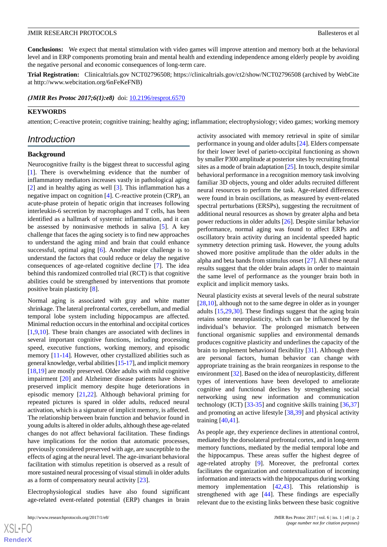**Conclusions:** We expect that mental stimulation with video games will improve attention and memory both at the behavioral level and in ERP components promoting brain and mental health and extending independence among elderly people by avoiding the negative personal and economic consequences of long-term care.

**Trial Registration:** Clinicaltrials.gov NCT02796508; https://clinicaltrials.gov/ct2/show/NCT02796508 (archived by WebCite at http://www.webcitation.org/6nFeKeFNB)

*(JMIR Res Protoc 2017;6(1):e8)* doi: [10.2196/resprot.6570](http://dx.doi.org/10.2196/resprot.6570)

# **KEYWORDS**

attention; C-reactive protein; cognitive training; healthy aging; inflammation; electrophysiology; video games; working memory

# *Introduction*

### **Background**

Neurocognitive frailty is the biggest threat to successful aging [[1\]](#page-8-0). There is overwhelming evidence that the number of inflammatory mediators increases vastly in pathological aging [[2\]](#page-8-1) and in healthy aging as well [[3\]](#page-8-2). This inflammation has a negative impact on cognition [[4\]](#page-8-3). C-reactive protein (CRP), an acute-phase protein of hepatic origin that increases following interleukin-6 secretion by macrophages and T cells, has been identified as a hallmark of systemic inflammation, and it can be assessed by noninvasive methods in saliva [[5\]](#page-8-4). A key challenge that faces the aging society is to find new approaches to understand the aging mind and brain that could enhance successful, optimal aging [\[6](#page-8-5)]. Another major challenge is to understand the factors that could reduce or delay the negative consequences of age-related cognitive decline [\[7](#page-8-6)]. The idea behind this randomized controlled trial (RCT) is that cognitive abilities could be strengthened by interventions that promote positive brain plasticity [[8\]](#page-8-7).

Normal aging is associated with gray and white matter shrinkage. The lateral prefrontal cortex, cerebellum, and medial temporal lobe system including hippocampus are affected. Minimal reduction occurs in the entorhinal and occipital cortices [[1](#page-8-0)[,9](#page-8-8),[10\]](#page-8-9). These brain changes are associated with declines in several important cognitive functions, including processing speed, executive functions, working memory, and episodic memory [\[11](#page-8-10)[-14](#page-8-11)]. However, other crystallized abilities such as general knowledge, verbal abilities [\[15-](#page-8-12)[17\]](#page-8-13), and implicit memory [[18](#page-8-14)[,19](#page-8-15)] are mostly preserved. Older adults with mild cognitive impairment [[20\]](#page-8-16) and Alzheimer disease patients have shown preserved implicit memory despite huge deteriorations in episodic memory [[21,](#page-8-17)[22](#page-9-0)]. Although behavioral priming for repeated pictures is spared in older adults, reduced neural activation, which is a signature of implicit memory, is affected. The relationship between brain function and behavior found in young adults is altered in older adults, although these age-related changes do not affect behavioral facilitation. These findings have implications for the notion that automatic processes, previously considered preserved with age, are susceptible to the effects of aging at the neural level. The age-invariant behavioral facilitation with stimulus repetition is observed as a result of more sustained neural processing of visual stimuli in older adults as a form of compensatory neural activity [[23\]](#page-9-1).

Electrophysiological studies have also found significant age-related event-related potential (ERP) changes in brain

 $XSI - F($ **[RenderX](http://www.renderx.com/)** activity associated with memory retrieval in spite of similar performance in young and older adults [\[24](#page-9-2)]. Elders compensate for their lower level of parieto-occipital functioning as shown by smaller P300 amplitude at posterior sites by recruiting frontal sites as a mode of brain adaptation [[25\]](#page-9-3). In touch, despite similar behavioral performance in a recognition memory task involving familiar 3D objects, young and older adults recruited different neural resources to perform the task. Age-related differences were found in brain oscillations, as measured by event-related spectral perturbations (ERSPs), suggesting the recruitment of additional neural resources as shown by greater alpha and beta power reductions in older adults [[26\]](#page-9-4). Despite similar behavior performance, normal aging was found to affect ERPs and oscillatory brain activity during an incidental speeded haptic symmetry detection priming task. However, the young adults showed more positive amplitude than the older adults in the alpha and beta bands from stimulus onset [\[27](#page-9-5)]. All these neural results suggest that the older brain adapts in order to maintain the same level of performance as the younger brain both in explicit and implicit memory tasks.

Neural plasticity exists at several levels of the neural substrate [[28,](#page-9-6)[10\]](#page-8-9), although not to the same degree in older as in younger adults [[15](#page-8-12)[,29](#page-9-7),[30\]](#page-9-8). These findings suggest that the aging brain retains some neuroplasticity, which can be influenced by the individual's behavior. The prolonged mismatch between functional organismic supplies and environmental demands produces cognitive plasticity and underlines the capacity of the brain to implement behavioral flexibility [[31\]](#page-9-9). Although there are personal factors, human behavior can change with appropriate training as the brain reorganizes in response to the environment [\[32](#page-9-10)]. Based on the idea of neuroplasticity, different types of interventions have been developed to ameliorate cognitive and functional declines by strengthening social networking using new information and communication technology (ICT) [[33-](#page-9-11)[35](#page-9-12)] and cognitive skills training [[36](#page-9-13)[,37](#page-9-14)] and promoting an active lifestyle [[38,](#page-9-15)[39\]](#page-9-16) and physical activity training [[40,](#page-9-17)[41](#page-9-18)].

As people age, they experience declines in attentional control, mediated by the dorsolateral prefrontal cortex, and in long-term memory functions, mediated by the medial temporal lobe and the hippocampus. These areas suffer the highest degree of age-related atrophy [[9\]](#page-8-8). Moreover, the prefrontal cortex facilitates the organization and contextualization of incoming information and interacts with the hippocampus during working memory implementation [[42](#page-9-19)[,43](#page-9-20)]. This relationship is strengthened with age [\[44](#page-9-21)]. These findings are especially relevant due to the existing links between these basic cognitive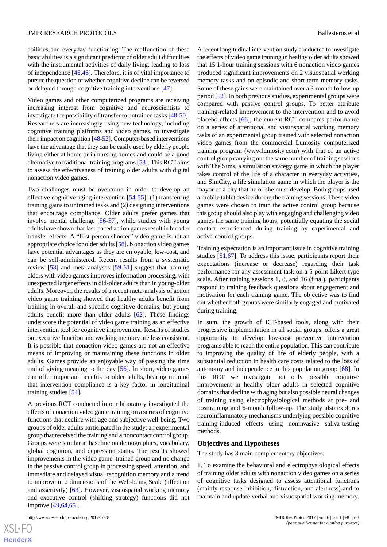abilities and everyday functioning. The malfunction of these basic abilities is a significant predictor of older adult difficulties with the instrumental activities of daily living, leading to loss of independence [[45](#page-9-22)[,46](#page-9-23)]. Therefore, it is of vital importance to pursue the question of whether cognitive decline can be reversed or delayed through cognitive training interventions [\[47](#page-9-24)].

Video games and other computerized programs are receiving increasing interest from cognitive and neuroscientists to investigate the possibility of transfer to untrained tasks [\[48](#page-10-0)-[50\]](#page-10-1). Researchers are increasingly using new technology, including cognitive training platforms and video games, to investigate their impact on cognition [\[48](#page-10-0)[-52](#page-10-2)]. Computer-based interventions have the advantage that they can be easily used by elderly people living either at home or in nursing homes and could be a good alternative to traditional training programs [\[53](#page-10-3)]. This RCT aims to assess the effectiveness of training older adults with digital nonaction video games.

Two challenges must be overcome in order to develop an effective cognitive aging intervention [\[54](#page-10-4)-[55\]](#page-10-5): (1) transferring training gains to untrained tasks and (2) designing interventions that encourage compliance. Older adults prefer games that involve mental challenge [\[56](#page-10-6)[-57](#page-10-7)], while studies with young adults have shown that fast-paced action games result in broader transfer effects. A "first-person shooter" video game is not an appropriate choice for older adults [[58\]](#page-10-8). Nonaction video games have potential advantages as they are enjoyable, low-cost, and can be self-administered. Recent results from a systematic review [[53\]](#page-10-3) and meta-analyses [[59-](#page-10-9)[61\]](#page-10-10) suggest that training elders with video games improves information processing, with unexpected larger effects in old-older adults than in young-older adults. Moreover, the results of a recent meta-analysis of action video game training showed that healthy adults benefit from training in overall and specific cognitive domains, but young adults benefit more than older adults [\[62](#page-10-11)]. These findings underscore the potential of video game training as an effective intervention tool for cognitive improvement. Results of studies on executive function and working memory are less consistent. It is possible that nonaction video games are not an effective means of improving or maintaining these functions in older adults. Games provide an enjoyable way of passing the time and of giving meaning to the day [[56\]](#page-10-6). In short, video games can offer important benefits to older adults, bearing in mind that intervention compliance is a key factor in longitudinal training studies [[54\]](#page-10-4).

A previous RCT conducted in our laboratory investigated the effects of nonaction video game training on a series of cognitive functions that decline with age and subjective well-being. Two groups of older adults participated in the study: an experimental group that received the training and a noncontact control group. Groups were similar at baseline on demographics, vocabulary, global cognition, and depression status. The results showed improvements in the video game–trained group and no change in the passive control group in processing speed, attention, and immediate and delayed visual recognition memory and a trend to improve in 2 dimensions of the Well-being Scale (affection and assertivity) [[63\]](#page-10-12). However, visuospatial working memory and executive control (shifting strategy) functions did not improve [\[49](#page-10-13),[64](#page-10-14)[,65](#page-10-15)].

A recent longitudinal intervention study conducted to investigate the effects of video game training in healthy older adults showed that 15 1-hour training sessions with 6 nonaction video games produced significant improvements on 2 visuospatial working memory tasks and on episodic and short-term memory tasks. Some of these gains were maintained over a 3-month follow-up period [\[52](#page-10-2)]. In both previous studies, experimental groups were compared with passive control groups. To better attribute training-related improvement to the intervention and to avoid placebo effects [\[66](#page-10-16)], the current RCT compares performance on a series of attentional and visuospatial working memory tasks of an experimental group trained with selected nonaction video games from the commercial Lumosity computerized training program (www.lumosity.com) with that of an active control group carrying out the same number of training sessions with The Sims, a simulation strategy game in which the player takes control of the life of a character in everyday activities, and SimCity, a life simulation game in which the player is the mayor of a city that he or she must develop. Both groups used a mobile tablet device during the training sessions. These video games were chosen to train the active control group because this group should also play with engaging and challenging video games the same training hours, potentially equating the social contact experienced during training by experimental and active-control groups.

Training expectation is an important issue in cognitive training studies [[51,](#page-10-17)[67](#page-10-18)]. To address this issue, participants report their expectations (increase or decrease) regarding their task performance for any assessment task on a 5-point Likert-type scale. After training sessions 1, 8, and 16 (final), participants respond to training feedback questions about engagement and motivation for each training game. The objective was to find out whether both groups were similarly engaged and motivated during training.

In sum, the growth of ICT-based tools, along with their progressive implementation in all social groups, offers a great opportunity to develop low-cost preventive intervention programs able to reach the entire population. This can contribute to improving the quality of life of elderly people, with a substantial reduction in health care costs related to the loss of autonomy and independence in this population group [[68\]](#page-10-19). In this RCT we investigate not only possible cognitive improvement in healthy older adults in selected cognitive domains that decline with aging but also possible neural changes of training using electrophysiological methods at pre- and posttraining and 6-month follow-up. The study also explores neuroinflammatory mechanisms underlying possible cognitive training-induced effects using noninvasive saliva-testing methods.

### **Objectives and Hypotheses**

The study has 3 main complementary objectives:

1. To examine the behavioral and electrophysiological effects of training older adults with nonaction video games on a series of cognitive tasks designed to assess attentional functions (mainly response inhibition, distraction, and alertness) and to maintain and update verbal and visuospatial working memory.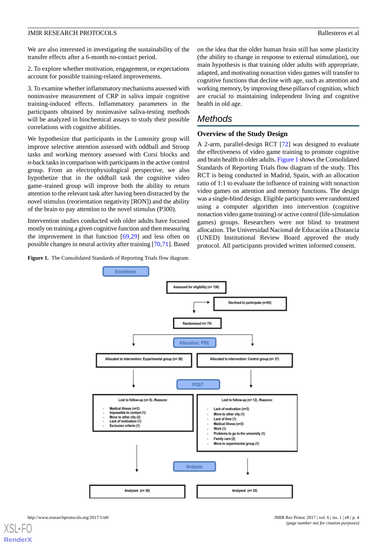We are also interested in investigating the sustainability of the transfer effects after a 6-month no-contact period.

2. To explore whether motivation, engagement, or expectations account for possible training-related improvements.

3. To examine whether inflammatory mechanisms assessed with noninvasive measurement of CRP in saliva impair cognitive training-induced effects. Inflammatory parameters in the participants obtained by noninvasive saliva-testing methods will be analyzed in biochemical assays to study their possible correlations with cognitive abilities.

We hypothesize that participants in the Lumosity group will improve selective attention assessed with oddball and Stroop tasks and working memory assessed with Corsi blocks and *n*-back tasks in comparison with participants in the active control group. From an electrophysiological perspective, we also hypothetize that in the oddball task the cognitive video game–trained group will improve both the ability to return attention to the relevant task after having been distracted by the novel stimulus (reorientation negativity [RON]) and the ability of the brain to pay attention to the novel stimulus (P300).

<span id="page-3-0"></span>Intervention studies conducted with older adults have focused mostly on training a given cognitive function and then measuring the improvement in that function  $[69,29]$  $[69,29]$  $[69,29]$  $[69,29]$  and less often on possible changes in neural activity after training [[70](#page-10-21)[,71](#page-11-0)]. Based

**Figure 1.** The Consolidated Standards of Reporting Trials flow diagram.

on the idea that the older human brain still has some plasticity (the ability to change in response to external stimulation), our main hypothesis is that training older adults with appropriate, adapted, and motivating nonaction video games will transfer to cognitive functions that decline with age, such as attention and working memory, by improving these pillars of cognition, which are crucial to maintaining independent living and cognitive health in old age.

# *Methods*

# **Overview of the Study Design**

A 2-arm, parallel-design RCT [[72\]](#page-11-1) was designed to evaluate the effectiveness of video game training to promote cognitive and brain health in older adults. [Figure 1](#page-3-0) shows the Consolidated Standards of Reporting Trials flow diagram of the study. This RCT is being conducted in Madrid, Spain, with an allocation ratio of 1:1 to evaluate the influence of training with nonaction video games on attention and memory functions. The design was a single-blind design. Eligible participants were randomized using a computer algorithm into intervention (cognitive nonaction video game training) or active control (life-simulation games) groups. Researchers were not blind to treatment allocation. The Universidad Nacional de Educación a Distancia (UNED) Institutional Review Board approved the study protocol. All participants provided written informed consent.

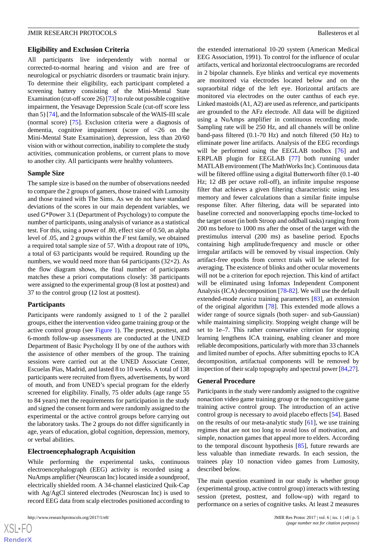### **Eligibility and Exclusion Criteria**

All participants live independently with normal or corrected-to-normal hearing and vision and are free of neurological or psychiatric disorders or traumatic brain injury. To determine their eligibility, each participant completed a screening battery consisting of the Mini-Mental State Examination (cut-off score 26) [\[73\]](#page-11-2) to rule out possible cognitive impairment, the Yesavage Depression Scale (cut-off score less than 5) [\[74](#page-11-3)], and the Information subscale of the WAIS-III scale (normal score) [[75\]](#page-11-4). Exclusion criteria were a diagnosis of dementia, cognitive impairment (score of <26 on the Mini-Mental State Examination), depression, less than 20/60 vision with or without correction, inability to complete the study activities, communication problems, or current plans to move to another city. All participants were healthy volunteers.

### **Sample Size**

The sample size is based on the number of observations needed to compare the 2 groups of gamers, those trained with Lumosity and those trained with The Sims. As we do not have standard deviations of the scores in our main dependent variables, we used G\*Power 3.1 (Department of Psychology) to compute the number of participants, using analysis of variance as a statistical test. For this, using a power of .80, effect size of 0.50, an alpha level of .05, and 2 groups within the *F* test family, we obtained a required total sample size of 57. With a dropout rate of 10%, a total of 63 participants would be required. Rounding up the numbers, we would need more than 64 participants (32×2). As the flow diagram shows, the final number of participants matches these a priori computations closely: 38 participants were assigned to the experimental group (8 lost at posttest) and 37 to the control group (12 lost at posttest).

### **Participants**

Participants were randomly assigned to 1 of the 2 parallel groups, either the intervention video game training group or the active control group (see [Figure 1\)](#page-3-0). The pretest, posttest, and 6-month follow-up assessments are conducted at the UNED Department of Basic Psychology II by one of the authors with the assistence of other members of the group. The training sessions were carried out at the UNED Associate Center, Escuelas Pías, Madrid, and lasted 8 to 10 weeks. A total of 138 participants were recruited from flyers, advertisements, by word of mouth, and from UNED's special program for the elderly screened for eligibility. Finally, 75 older adults (age range 55 to 84 years) met the requirements for participation in the study and signed the consent form and were randomly assigned to the experimental or the active control groups before carrying out the laboratory tasks. The 2 groups do not differ significantly in age, years of education, global cognition, depression, memory, or verbal abilities.

### **Electroencephalograph Acquisition**

While performing the experimental tasks, continuous electroencephalograph (EEG) activity is recorded using a NuAmps amplifier (Neuroscan Inc) located inside a soundproof, electrically shielded room. A 34-channel elasticized Quik-Cap with Ag/AgCl sintered electrodes (Neuroscan Inc) is used to record EEG data from scalp electrodes positioned according to

 $XS$  $\cdot$ FC **[RenderX](http://www.renderx.com/)**

the extended international 10-20 system (American Medical EEG Association, 1991). To control for the influence of ocular artifacts, vertical and horizontal electrooculograms are recorded in 2 bipolar channels. Eye blinks and vertical eye movements are monitored via electrodes located below and on the supraorbital ridge of the left eye. Horizontal artifacts are monitored via electrodes on the outer canthus of each eye. Linked mastoids (A1, A2) are used as reference, and participants are grounded to the AFz electrode. All data will be digitized using a NuAmps amplifier in continuous recording mode. Sampling rate will be 250 Hz, and all channels will be online band-pass filtered (0.1-70 Hz) and notch filtered (50 Hz) to eliminate power line artifacts. Analysis of the EEG recordings will be performed using the EEGLAB toolbox [\[76](#page-11-5)] and ERPLAB plugin for EEGLAB [\[77](#page-11-6)] both running under MATLAB environment (The MathWorks Inc). Continuous data will be filtered offline using a digital Butterworth filter (0.1-40 Hz; 12 dB per octave roll-off), an infinite impulse response filter that achieves a given filtering characteristic using less memory and fewer calculations than a similar finite impulse response filter. After filtering, data will be separated into baseline corrected and nonoverlapping epochs time-locked to the target onset (in both Stroop and oddball tasks) ranging from 200 ms before to 1000 ms after the onset of the target with the prestimulus interval (200 ms) as baseline period. Epochs containing high amplitude/frequency and muscle or other irregular artifacts will be removed by visual inspection. Only artifact-free epochs from correct trials will be selected for averaging. The existence of blinks and other ocular movements will not be a criterion for epoch rejection. This kind of artifact will be eliminated using Infomax Independent Component Analysis (ICA) decomposition [\[78](#page-11-7)[-82](#page-11-8)]. We will use the default extended-mode *runica* training parameters [[83\]](#page-11-9), an extension of the original algorithm [\[78](#page-11-7)]. This extended mode allows a wider range of source signals (both super- and sub-Gaussian) while maintaining simplicity. Stopping weight change will be set to 1e–7. This rather conservative criterion for stopping learning lengthens ICA training, enabling cleaner and more reliable decompositions, particularly with more than 33 channels and limited number of epochs. After submitting epochs to ICA decomposition, artifactual components will be removed by inspection of their scalp topography and spectral power [[84,](#page-11-10)[27](#page-9-5)].

### **General Procedure**

Participants in the study were randomly assigned to the cognitive nonaction video game training group or the noncognitive game training active control group. The introduction of an active control group is necessary to avoid placebo effects [\[54](#page-10-4)]. Based on the results of our meta-analytic study [\[61](#page-10-10)], we use training regimes that are not too long to avoid loss of motivation, and simple, nonaction games that appeal more to elders. According to the temporal discount hypothesis [\[85](#page-11-11)], future rewards are less valuable than inmediate rewards. In each session, the trainees play 10 nonaction video games from Lumosity, described below.

The main question examined in our study is whether group (experimental group, active control group) interacts with testing session (pretest, posttest, and follow-up) with regard to performance on a series of cognitive tasks. At least 2 measures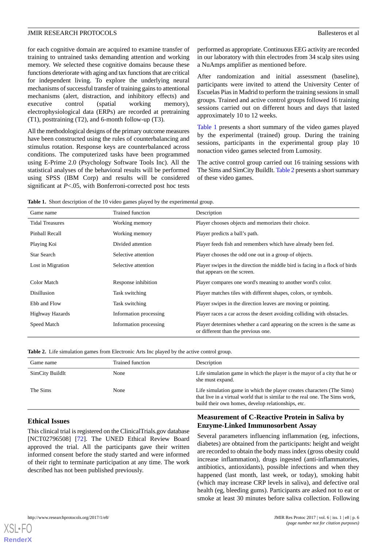for each cognitive domain are acquired to examine transfer of training to untrained tasks demanding attention and working memory. We selected these cognitive domains because these functions deteriorate with aging and tax functions that are critical for independent living. To explore the underlying neural mechanisms of successful transfer of training gains to attentional mechanisms (alert, distraction, and inhibitory effects) and executive control (spatial working memory), electrophysiological data (ERPs) are recorded at pretraining (T1), posttraining (T2), and 6-month follow-up (T3).

All the methodological designs of the primary outcome measures have been constructed using the rules of counterbalancing and stimulus rotation. Response keys are counterbalanced across conditions. The computerized tasks have been programmed using E-Prime 2.0 (Psychology Software Tools Inc). All the statistical analyses of the behavioral results will be performed using SPSS (IBM Corp) and results will be considered significant at *P*<.05, with Bonferroni-corrected post hoc tests

performed as appropriate. Continuous EEG activity are recorded in our laboratory with thin electrodes from 34 scalp sites using a NuAmps amplifier as mentioned before.

After randomization and initial assessment (baseline), participants were invited to attend the University Center of Escuelas Pias in Madrid to perform the training sessions in small groups. Trained and active control groups followed 16 training sessions carried out on different hours and days that lasted approximately 10 to 12 weeks.

[Table 1](#page-5-0) presents a short summary of the video games played by the experimental (trained) group. During the training sessions, participants in the experimental group play 10 nonaction video games selected from Lumosity.

The active control group carried out 16 training sessions with The Sims and SimCity BuildIt. [Table 2](#page-5-1) presents a short summary of these video games.

<span id="page-5-0"></span>**Table 1.** Short description of the 10 video games played by the experimental group.

| Game name              | Trained function       | Description                                                                                                    |
|------------------------|------------------------|----------------------------------------------------------------------------------------------------------------|
| <b>Tidal Treasures</b> | Working memory         | Player chooses objects and memorizes their choice.                                                             |
| Pinball Recall         | Working memory         | Player predicts a ball's path.                                                                                 |
| Playing Koi            | Divided attention      | Player feeds fish and remembers which have already been fed.                                                   |
| Star Search            | Selective attention    | Player chooses the odd one out in a group of objects.                                                          |
| Lost in Migration      | Selective attention    | Player swipes in the direction the middle bird is facing in a flock of birds<br>that appears on the screen.    |
| Color Match            | Response inhibition    | Player compares one word's meaning to another word's color.                                                    |
| Disillusion            | Task switching         | Player matches tiles with different shapes, colors, or symbols.                                                |
| Ebb and Flow           | Task switching         | Player swipes in the direction leaves are moving or pointing.                                                  |
| Highway Hazards        | Information processing | Player races a car across the desert avoiding colliding with obstacles.                                        |
| Speed Match            | Information processing | Player determines whether a card appearing on the screen is the same as<br>or different than the previous one. |

<span id="page-5-1"></span>**Table 2.** Life simulation games from Electronic Arts Inc played by the active control group.

| Game name       | Trained function | Description                                                                                                                                                                                                  |
|-----------------|------------------|--------------------------------------------------------------------------------------------------------------------------------------------------------------------------------------------------------------|
| SimCity BuildIt | None             | Life simulation game in which the player is the mayor of a city that he or<br>she must expand.                                                                                                               |
| The Sims        | None             | Life simulation game in which the player creates characters (The Sims)<br>that live in a virtual world that is similar to the real one. The Sims work,<br>build their own homes, develop relationships, etc. |

### **Ethical Issues**

[XSL](http://www.w3.org/Style/XSL)•FO **[RenderX](http://www.renderx.com/)**

This clinical trial is registered on the ClinicalTrials.gov database [NCT02796508] [[72\]](#page-11-1). The UNED Ethical Review Board approved the trial. All the participants gave their written informed consent before the study started and were informed of their right to terminate participation at any time. The work described has not been published previously.

# **Measurement of C-Reactive Protein in Saliva by Enzyme-Linked Immunosorbent Assay**

Several parameters influencing inflammation (eg, infections, diabetes) are obtained from the participants: height and weight are recorded to obtain the body mass index (gross obesity could increase inflammation), drugs ingested (anti-inflammatories, antibiotics, antioxidants), possible infections and when they happened (last month, last week, or today), smoking habit (which may increase CRP levels in saliva), and defective oral health (eg, bleeding gums). Participants are asked not to eat or smoke at least 30 minutes before saliva collection. Following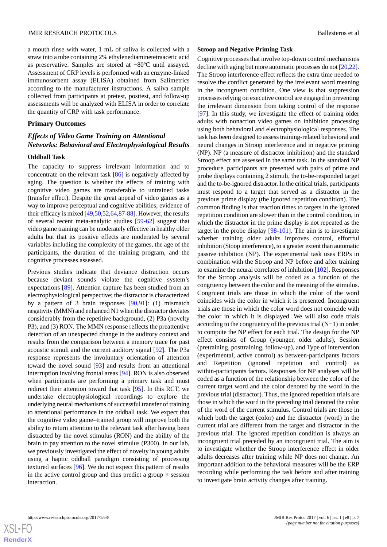a mouth rinse with water, 1 mL of saliva is collected with a straw into a tube containing 2% ethylenediaminetetraacetic acid as preservative. Samples are stored at −80ºC until assayed. Assessment of CRP levels is performed with an enzyme-linked immunosorbent assay (ELISA) obtained from Salimetrics according to the manufacturer instructions. A saliva sample collected from participants at pretest, posttest, and follow-up assessments will be analyzed with ELISA in order to correlate the quantity of CRP with task performance.

### **Primary Outcomes**

# *Effects of Video Game Training on Attentional Networks: Behavioral and Electrophysiological Results*

#### **Oddball Task**

The capacity to suppress irrelevant information and to concentrate on the relevant task [[86\]](#page-11-12) is negatively affected by aging. The question is whether the effects of training with cognitive video games are transferable to untrained tasks (transfer effect). Despite the great appeal of video games as a way to improve perceptual and cognitive abilities, evidence of their efficacy is mixed [\[49](#page-10-13),[50](#page-10-1),[52,](#page-10-2)[64](#page-10-14)[,87](#page-11-13)[-88](#page-11-14)]. However, the results of several recent meta-analytic studies [\[59](#page-10-9)[-62](#page-10-11)] suggest that video game training can be moderately effective in healthy older adults but that its positive effects are moderated by several variables including the complexity of the games, the age of the participants, the duration of the training program, and the cognitive processes assessed.

Previous studies indicate that deviance distraction occurs because deviant sounds violate the cognitive system's expectations [[89\]](#page-11-15). Attention capture has been studied from an electrophysiological perspective; the distractor is characterized by a pattern of 3 brain responses [[90,](#page-11-16)[91\]](#page-11-17): (1) mismatch negativity (MMN) and enhanced N1 when the distractor deviates considerably from the repetitive background, (2) P3a (novelty P3), and (3) RON. The MMN response reflects the preattentive detection of an unexpected change in the auditory context and results from the comparison between a memory trace for past acoustic stimuli and the current auditory signal [\[92](#page-11-18)]. The P3a response represents the involuntary orientation of attention toward the novel sound [\[93](#page-11-19)] and results from an attentional interruption involving frontal areas [\[94](#page-11-20)]. RON is also observed when participants are performing a primary task and must redirect their attention toward that task [\[95](#page-11-21)]. In this RCT, we undertake electrophysiological recordings to explore the underlying neural mechanisms of successful transfer of training to attentional performance in the oddball task. We expect that the cognitive video game–trained group will improve both the ability to return attention to the relevant task after having been distracted by the novel stimulus (RON) and the ability of the brain to pay attention to the novel stimulus (P300). In our lab, we previously investigated the effect of novelty in young adults using a haptic oddball paradigm consisting of processing textured surfaces [\[96](#page-11-22)]. We do not expect this pattern of results in the active control group and thus predict a group  $\times$  session interaction.

#### **Stroop and Negative Priming Task**

Cognitive processes that involve top-down control mechanisms decline with aging but more automatic processes do not [[20,](#page-8-16)[22](#page-9-0)]. The Stroop interference effect reflects the extra time needed to resolve the conflict generated by the irrelevant word meaning in the incongruent condition. One view is that suppression processes relying on executive control are engaged in preventing the irrelevant dimension from taking control of the response [[97\]](#page-11-23). In this study, we investigate the effect of training older adults with nonaction video games on inhibition processing using both behavioral and electrophysiological responses. The task has been designed to assess training-related behavioral and neural changes in Stroop interference and in negative priming (NP). NP (a measure of distractor inhibition) and the standard Stroop effect are assessed in the same task. In the standard NP procedure, participants are presented with pairs of prime and probe displays containing 2 stimuli, the to-be-responded target and the to-be-ignored distractor. In the critical trials, participants must respond to a target that served as a distractor in the previous prime display (the ignored repetition condition). The common finding is that reaction times to targets in the ignored repetition condition are slower than in the control condition, in which the distractor in the prime display is not repeated as the target in the probe display [\[98](#page-12-0)[-101](#page-12-1)]. The aim is to investigate whether training older adults improves control, effortful inhibition (Stoop interference), to a greater extent than automatic passive inhibition (NP). The experimental task uses ERPs in combination with the Stroop and NP before and after training to examine the neural correlates of inhibition [[102](#page-12-2)]. Responses for the Stroop analysis will be coded as a function of the congruency between the color and the meaning of the stimulus. Congruent trials are those in which the color of the word coincides with the color in which it is presented. Incongruent trials are those in which the color word does not coincide with the color in which it is displayed. We will also code trials according to the congruency of the previous trial (N−1) in order to compute the NP effect for each trial. The design for the NP effect consists of Group (younger, older adults), Session (pretraining, posttraining, follow-up), and Type of intervention (experimental, active control) as between-participants factors and Repetition (ignored repetition and control) as within-participants factors. Responses for NP analyses will be coded as a function of the relationship between the color of the current target word and the color denoted by the word in the previous trial (distractor). Thus, the ignored repetition trials are those in which the word in the preceding trial denoted the color of the word of the current stimulus. Control trials are those in which both the target (color) and the distractor (word) in the current trial are different from the target and distractor in the previous trial. The ignored repetition condition is always an incongruent trial preceded by an incongruent trial. The aim is to investigate whether the Stroop interference effect in older adults decreases after training while NP does not change. An important addition to the behavioral measures will be the ERP recording while performing the task before and after training to investigate brain activity changes after training.

 $XS$  $\cdot$ FC **[RenderX](http://www.renderx.com/)**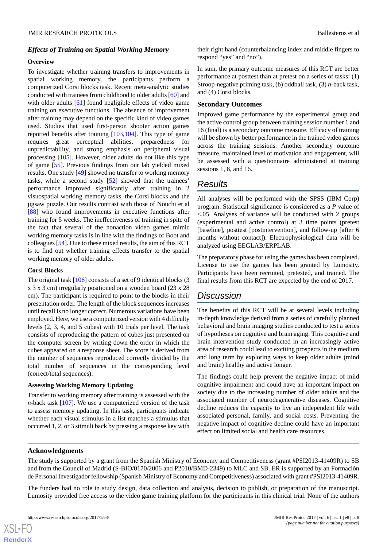## *Effects of Training on Spatial Working Memory*

#### **Overview**

To investigate whether training transfers to improvements in spatial working memory, the participants perform a computerized Corsi blocks task. Recent meta-analytic studies conducted with trainees from childhood to older adults [\[60](#page-10-22)] and with older adults [[61\]](#page-10-10) found negligible effects of video game training on executive functions. The absence of improvement after training may depend on the specific kind of video games used. Studies that used first-person shooter action games reported benefits after training [\[103](#page-12-3),[104\]](#page-12-4). This type of game requires great perceptual abilities, preparedness for unpredictability, and strong emphasis on peripheral visual processing [[105\]](#page-12-5). However, older adults do not like this type of game [\[55](#page-10-5)]. Previous findings from our lab yielded mixed results. One study [[49\]](#page-10-13) showed no transfer to working memory tasks, while a second study [[52\]](#page-10-2) showed that the trainees' performance improved significantly after training in 2 visuospatial working memory tasks, the Corsi blocks and the jigsaw puzzle. Our results contrast with those of Nouchi et al [[88\]](#page-11-14) who found improvements in executive functions after training for 5 weeks. The ineffectiveness of training in spite of the fact that several of the nonaction video games mimic working memory tasks is in line with the findings of Boot and colleagues [[54\]](#page-10-4). Due to these mixed results, the aim of this RCT is to find out whether training effects transfer to the spatial working memory of older adults.

#### **Corsi Blocks**

The original task [\[106](#page-12-6)] consists of a set of 9 identical blocks (3 x 3 x 3 cm) irregularly positioned on a wooden board (23 x 28 cm). The participant is required to point to the blocks in their presentation order. The length of the block sequences increases until recall is no longer correct. Numerous variations have been employed. Here, we use a computerized version with 4 difficulty levels (2, 3, 4, and 5 cubes) with 10 trials per level. The task consists of reproducing the pattern of cubes just presented on the computer screen by writing down the order in which the cubes appeared on a response sheet. The score is derived from the number of sequences reproduced correctly divided by the total number of sequences in the corresponding level (correct/total sequences).

#### **Assessing Working Memory Updating**

Transfer to working memory after training is assessed with the *n*-back task [\[107](#page-12-7)]. We use a computerized version of the task to assess memory updating. In this task, participants indicate whether each visual stimulus in a list matches a stimulus that occurred 1, 2, or 3 stimuli back by pressing a response key with

their right hand (counterbalancing index and middle fingers to respond "yes" and "no").

In sum, the primary outcome measures of this RCT are better performance at posttest than at pretest on a series of tasks: (1) Stroop-negative priming task, (b) oddball task, (3) *n*-back task, and (4) Corsi blocks.

## **Secondary Outcomes**

Improved game performance by the experimental group and the active control group between training session number 1 and 16 (final) is a secondary outcome measure. Efficacy of training will be shown by better performance in the trained video games across the training sessions. Another secondary outcome measure, maintained level of motivation and engagement, will be assessed with a questionnaire administered at training sessions 1, 8, and 16.

# *Results*

All analyses will be performed with the SPSS (IBM Corp) program. Statistical significance is considered as a *P* value of <.05. Analyses of variance will be conducted with 2 groups (experimental and active control) at 3 time points (pretest [baseline], posttest [postintervention], and follow-up [after 6 months without contact]). Electrophysiological data will be analyzed using EEGLAB/ERPLAB.

The preparatory phase for using the games has been completed. License to use the games has been granted by Lumosity. Participants have been recruited, pretested, and trained. The final results from this RCT are expected by the end of 2017.

# *Discussion*

The benefits of this RCT will be at several levels including in-depth knowledge derived from a series of carefully planned behavioral and brain imaging studies conducted to test a series of hypotheses on cognitive and brain aging. This cognitive and brain intervention study conducted in an increasingly active area of research could lead to exciting prospects in the medium and long term by exploring ways to keep older adults (mind and brain) healthy and active longer.

The findings could help prevent the negative impact of mild cognitive impairment and could have an important impact on society due to the increasing number of older adults and the associated number of neurodegenerative diseases. Cognitive decline reduces the capacity to live an independent life with associated personal, family, and social costs. Preventing the negative impact of cognitive decline could have an important effect on limited social and health care resources.

### **Acknowledgments**

The study is supported by a grant from the Spanish Ministry of Economy and Competitiveness (grant #PSI2013-41409R) to SB and from the Council of Madrid (S-BIO/0170/2006 and P2010/BMD-2349) to MLC and SB. ER is supported by an Formación de Personal Investigador fellowship (Spanish Ministry of Economy and Competitiveness) associated with grant #PSI2013-41409R.

The funders had no role in study design, data collection and analysis, decision to publish, or preparation of the manuscript. Lumosity provided free access to the video game training platform for the participants in this clinical trial. None of the authors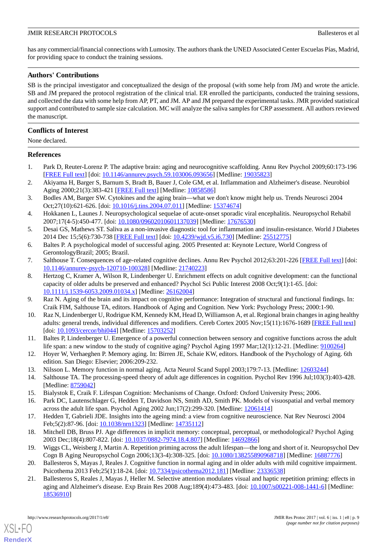has any commercial/financial connections with Lumosity. The authors thank the UNED Associated Center Escuelas Pías, Madrid, for providing space to conduct the training sessions.

# **Authors' Contributions**

SB is the principal investigator and conceptualized the design of the proposal (with some help from JM) and wrote the article. SB and JM prepared the protocol registration of the clinical trial. ER enrolled the participants, conducted the training sessions, and collected the data with some help from AP, PT, and JM. AP and JM prepared the experimental tasks. JMR provided statistical support and contributed to sample size calculation. MC will analyze the saliva samples for CRP assessment. All authors reviewed the manuscript.

# **Conflicts of Interest**

None declared.

# <span id="page-8-0"></span>**References**

- <span id="page-8-1"></span>1. Park D, Reuter-Lorenz P. The adaptive brain: aging and neurocognitive scaffolding. Annu Rev Psychol 2009;60:173-196 [[FREE Full text](http://europepmc.org/abstract/MED/19035823)] [doi: [10.1146/annurev.psych.59.103006.093656](http://dx.doi.org/10.1146/annurev.psych.59.103006.093656)] [Medline: [19035823](http://www.ncbi.nlm.nih.gov/entrez/query.fcgi?cmd=Retrieve&db=PubMed&list_uids=19035823&dopt=Abstract)]
- <span id="page-8-2"></span>2. Akiyama H, Barger S, Barnum S, Bradt B, Bauer J, Cole GM, et al. Inflammation and Alzheimer's disease. Neurobiol Aging 2000;21(3):383-421 [\[FREE Full text\]](http://europepmc.org/abstract/MED/10858586) [Medline: [10858586\]](http://www.ncbi.nlm.nih.gov/entrez/query.fcgi?cmd=Retrieve&db=PubMed&list_uids=10858586&dopt=Abstract)
- <span id="page-8-3"></span>3. Bodles AM, Barger SW. Cytokines and the aging brain—what we don't know might help us. Trends Neurosci 2004 Oct;27(10):621-626. [doi: [10.1016/j.tins.2004.07.011](http://dx.doi.org/10.1016/j.tins.2004.07.011)] [Medline: [15374674](http://www.ncbi.nlm.nih.gov/entrez/query.fcgi?cmd=Retrieve&db=PubMed&list_uids=15374674&dopt=Abstract)]
- <span id="page-8-5"></span><span id="page-8-4"></span>4. Hokkanen L, Launes J. Neuropsychological sequelae of acute-onset sporadic viral encephalitis. Neuropsychol Rehabil 2007;17(4-5):450-477. [doi: [10.1080/09602010601137039](http://dx.doi.org/10.1080/09602010601137039)] [Medline: [17676530\]](http://www.ncbi.nlm.nih.gov/entrez/query.fcgi?cmd=Retrieve&db=PubMed&list_uids=17676530&dopt=Abstract)
- <span id="page-8-6"></span>5. Desai GS, Mathews ST. Saliva as a non-invasive diagnostic tool for inflammation and insulin-resistance. World J Diabetes 2014 Dec 15;5(6):730-738 [\[FREE Full text](http://www.wjgnet.com/1948-9358/full/v5/i6/730.htm)] [doi: [10.4239/wjd.v5.i6.730](http://dx.doi.org/10.4239/wjd.v5.i6.730)] [Medline: [25512775\]](http://www.ncbi.nlm.nih.gov/entrez/query.fcgi?cmd=Retrieve&db=PubMed&list_uids=25512775&dopt=Abstract)
- <span id="page-8-7"></span>6. Baltes P. A psychological model of successful aging. 2005 Presented at: Keynote Lecture, World Congress of GerontologyBrazil; 2005; Brazil.
- 7. Salthouse T. Consequences of age-related cognitive declines. Annu Rev Psychol 2012;63:201-226 [[FREE Full text](http://europepmc.org/abstract/MED/21740223)] [doi: [10.1146/annurev-psych-120710-100328](http://dx.doi.org/10.1146/annurev-psych-120710-100328)] [Medline: [21740223\]](http://www.ncbi.nlm.nih.gov/entrez/query.fcgi?cmd=Retrieve&db=PubMed&list_uids=21740223&dopt=Abstract)
- <span id="page-8-9"></span><span id="page-8-8"></span>8. Hertzog C, Kramer A, Wilson R, Lindenberger U. Enrichment effects on adult cognitive development: can the functional capacity of older adults be preserved and enhanced? Psychol Sci Public Interest 2008 Oct;9(1):1-65. [doi: [10.1111/j.1539-6053.2009.01034.x\]](http://dx.doi.org/10.1111/j.1539-6053.2009.01034.x) [Medline: [26162004\]](http://www.ncbi.nlm.nih.gov/entrez/query.fcgi?cmd=Retrieve&db=PubMed&list_uids=26162004&dopt=Abstract)
- <span id="page-8-10"></span>9. Raz N. Aging of the brain and its impact on cognitive performance: Integration of structural and functional findings. In: Craik FIM, Salthouse TA, editors. Handbook of Aging and Cognition. New York: Psychology Press; 2000:1-90.
- 10. Raz N, Lindenberger U, Rodrigue KM, Kennedy KM, Head D, Williamson A, et al. Regional brain changes in aging healthy adults: general trends, individual differences and modifiers. Cereb Cortex 2005 Nov;15(11):1676-1689 [[FREE Full text\]](http://cercor.oxfordjournals.org/cgi/pmidlookup?view=long&pmid=15703252) [doi: [10.1093/cercor/bhi044\]](http://dx.doi.org/10.1093/cercor/bhi044) [Medline: [15703252](http://www.ncbi.nlm.nih.gov/entrez/query.fcgi?cmd=Retrieve&db=PubMed&list_uids=15703252&dopt=Abstract)]
- <span id="page-8-11"></span>11. Baltes P, Lindenberger U. Emergence of a powerful connection between sensory and cognitive functions across the adult life span: a new window to the study of cognitive aging? Psychol Aging 1997 Mar;12(1):12-21. [Medline: [9100264](http://www.ncbi.nlm.nih.gov/entrez/query.fcgi?cmd=Retrieve&db=PubMed&list_uids=9100264&dopt=Abstract)]
- <span id="page-8-12"></span>12. Hoyer W, Verhaeghen P. Memory aging. In: Birren JE, Schaie KW, editors. Handbook of the Psychology of Aging. 6th edition. San Diego: Elsevier; 2006:209-232.
- 13. Nilsson L. Memory function in normal aging. Acta Neurol Scand Suppl 2003;179:7-13. [Medline: [12603244](http://www.ncbi.nlm.nih.gov/entrez/query.fcgi?cmd=Retrieve&db=PubMed&list_uids=12603244&dopt=Abstract)]
- <span id="page-8-13"></span>14. Salthouse TA. The processing-speed theory of adult age differences in cognition. Psychol Rev 1996 Jul;103(3):403-428. [Medline: [8759042\]](http://www.ncbi.nlm.nih.gov/entrez/query.fcgi?cmd=Retrieve&db=PubMed&list_uids=8759042&dopt=Abstract)
- <span id="page-8-14"></span>15. Bialystok E, Craik F. Lifespan Cognition: Mechanisms of Change. Oxford: Oxford University Press; 2006.
- <span id="page-8-15"></span>16. Park DC, Lautenschlager G, Hedden T, Davidson NS, Smith AD, Smith PK. Models of visuospatial and verbal memory across the adult life span. Psychol Aging 2002 Jun;17(2):299-320. [Medline: [12061414\]](http://www.ncbi.nlm.nih.gov/entrez/query.fcgi?cmd=Retrieve&db=PubMed&list_uids=12061414&dopt=Abstract)
- <span id="page-8-16"></span>17. Hedden T, Gabrieli JDE. Insights into the ageing mind: a view from cognitive neuroscience. Nat Rev Neurosci 2004 Feb;5(2):87-96. [doi: [10.1038/nrn1323](http://dx.doi.org/10.1038/nrn1323)] [Medline: [14735112\]](http://www.ncbi.nlm.nih.gov/entrez/query.fcgi?cmd=Retrieve&db=PubMed&list_uids=14735112&dopt=Abstract)
- <span id="page-8-17"></span>18. Mitchell DB, Bruss PJ. Age differences in implicit memory: conceptual, perceptual, or methodological? Psychol Aging 2003 Dec;18(4):807-822. [doi: [10.1037/0882-7974.18.4.807](http://dx.doi.org/10.1037/0882-7974.18.4.807)] [Medline: [14692866\]](http://www.ncbi.nlm.nih.gov/entrez/query.fcgi?cmd=Retrieve&db=PubMed&list_uids=14692866&dopt=Abstract)
- 19. Wiggs CL, Weisberg J, Martin A. Repetition priming across the adult lifespan—the long and short of it. Neuropsychol Dev Cogn B Aging Neuropsychol Cogn 2006;13(3-4):308-325. [doi: [10.1080/138255890968718\]](http://dx.doi.org/10.1080/138255890968718) [Medline: [16887776\]](http://www.ncbi.nlm.nih.gov/entrez/query.fcgi?cmd=Retrieve&db=PubMed&list_uids=16887776&dopt=Abstract)
- 20. Ballesteros S, Mayas J, Reales J. Cognitive function in normal aging and in older adults with mild cognitive impairment. Psicothema 2013 Feb;25(1):18-24. [doi: [10.7334/psicothema2012.181\]](http://dx.doi.org/10.7334/psicothema2012.181) [Medline: [23336538\]](http://www.ncbi.nlm.nih.gov/entrez/query.fcgi?cmd=Retrieve&db=PubMed&list_uids=23336538&dopt=Abstract)
- 21. Ballesteros S, Reales J, Mayas J, Heller M. Selective attention modulates visual and haptic repetition priming: effects in aging and Alzheimer's disease. Exp Brain Res 2008 Aug;189(4):473-483. [doi: [10.1007/s00221-008-1441-6](http://dx.doi.org/10.1007/s00221-008-1441-6)] [Medline: [18536910](http://www.ncbi.nlm.nih.gov/entrez/query.fcgi?cmd=Retrieve&db=PubMed&list_uids=18536910&dopt=Abstract)]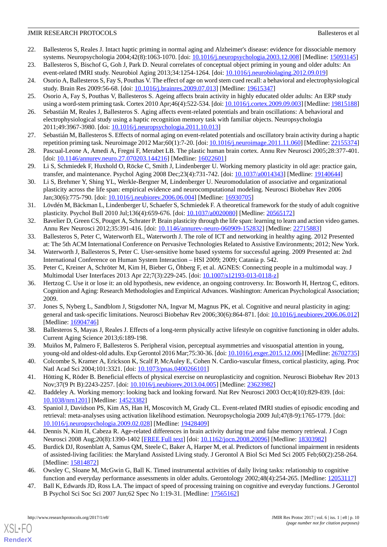- <span id="page-9-0"></span>22. Ballesteros S, Reales J. Intact haptic priming in normal aging and Alzheimer's disease: evidence for dissociable memory systems. Neuropsychologia 2004;42(8):1063-1070. [doi: [10.1016/j.neuropsychologia.2003.12.008](http://dx.doi.org/10.1016/j.neuropsychologia.2003.12.008)] [Medline: [15093145\]](http://www.ncbi.nlm.nih.gov/entrez/query.fcgi?cmd=Retrieve&db=PubMed&list_uids=15093145&dopt=Abstract)
- <span id="page-9-2"></span><span id="page-9-1"></span>23. Ballesteros S, Bischof G, Goh J, Park D. Neural correlates of conceptual object priming in young and older adults: An event-related fMRI study. Neurobiol Aging 2013;34:1254-1264. [doi: [10.1016/j.neurobiolaging.2012.09.019](http://dx.doi.org/10.1016/j.neurobiolaging.2012.09.019)]
- <span id="page-9-3"></span>24. Osorio A, Ballesteros S, Fay S, Pouthas V. The effect of age on word stem cued recall: a behavioral and electrophysiological study. Brain Res 2009:56-68. [doi: [10.1016/j.brainres.2009.07.013](http://dx.doi.org/10.1016/j.brainres.2009.07.013)] [Medline: [19615347](http://www.ncbi.nlm.nih.gov/entrez/query.fcgi?cmd=Retrieve&db=PubMed&list_uids=19615347&dopt=Abstract)]
- <span id="page-9-4"></span>25. Osorio A, Fay S, Pouthas V, Ballesteros S. Ageing affects brain activity in highly educated older adults: An ERP study using a word-stem priming task. Cortex 2010 Apr;46(4):522-534. [doi: [10.1016/j.cortex.2009.09.003](http://dx.doi.org/10.1016/j.cortex.2009.09.003)] [Medline: [19815188](http://www.ncbi.nlm.nih.gov/entrez/query.fcgi?cmd=Retrieve&db=PubMed&list_uids=19815188&dopt=Abstract)]
- <span id="page-9-5"></span>26. Sebastián M, Reales J, Ballesteros S. Aging affects event-related potentials and brain oscillations: A behavioral and electrophysiological study using a haptic recognition memory task with familiar objects. Neuropsychologia 2011;49:3967-3980. [doi: [10.1016/j.neuropsychologia.2011.10.013\]](http://dx.doi.org/10.1016/j.neuropsychologia.2011.10.013)
- <span id="page-9-6"></span>27. Sebastián M, Ballesteros S. Effects of normal aging on event-related potentials and oscillatory brain activity during a haptic repetition priming task. Neuroimage 2012 Mar;60(1):7-20. [doi: [10.1016/j.neuroimage.2011.11.060\]](http://dx.doi.org/10.1016/j.neuroimage.2011.11.060) [Medline: [22155374](http://www.ncbi.nlm.nih.gov/entrez/query.fcgi?cmd=Retrieve&db=PubMed&list_uids=22155374&dopt=Abstract)]
- <span id="page-9-7"></span>28. Pascual-Leone A, Amedi A, Fregni F, Merabet LB. The plastic human brain cortex. Annu Rev Neurosci 2005;28:377-401. [doi: [10.1146/annurev.neuro.27.070203.144216](http://dx.doi.org/10.1146/annurev.neuro.27.070203.144216)] [Medline: [16022601](http://www.ncbi.nlm.nih.gov/entrez/query.fcgi?cmd=Retrieve&db=PubMed&list_uids=16022601&dopt=Abstract)]
- <span id="page-9-8"></span>29. Li S, Schmiedek F, Huxhold O, Röcke C, Smith J, Lindenberger U. Working memory plasticity in old age: practice gain, transfer, and maintenance. Psychol Aging 2008 Dec;23(4):731-742. [doi: [10.1037/a0014343](http://dx.doi.org/10.1037/a0014343)] [Medline: [19140644\]](http://www.ncbi.nlm.nih.gov/entrez/query.fcgi?cmd=Retrieve&db=PubMed&list_uids=19140644&dopt=Abstract)
- <span id="page-9-9"></span>30. Li S, Brehmer Y, Shing YL, Werkle-Bergner M, Lindenberger U. Neuromodulation of associative and organizational plasticity across the life span: empirical evidence and neurocomputational modeling. Neurosci Biobehav Rev 2006 Jan;30(6):775-790. [doi: [10.1016/j.neubiorev.2006.06.004\]](http://dx.doi.org/10.1016/j.neubiorev.2006.06.004) [Medline: [16930705\]](http://www.ncbi.nlm.nih.gov/entrez/query.fcgi?cmd=Retrieve&db=PubMed&list_uids=16930705&dopt=Abstract)
- <span id="page-9-11"></span><span id="page-9-10"></span>31. Lövdén M, Bäckman L, Lindenberger U, Schaefer S, Schmiedek F. A theoretical framework for the study of adult cognitive plasticity. Psychol Bull 2010 Jul;136(4):659-676. [doi: [10.1037/a0020080](http://dx.doi.org/10.1037/a0020080)] [Medline: [20565172](http://www.ncbi.nlm.nih.gov/entrez/query.fcgi?cmd=Retrieve&db=PubMed&list_uids=20565172&dopt=Abstract)]
- 32. Bavelier D, Green CS, Pouget A, Schrater P. Brain plasticity through the life span: learning to learn and action video games. Annu Rev Neurosci 2012;35:391-416. [doi: [10.1146/annurev-neuro-060909-152832\]](http://dx.doi.org/10.1146/annurev-neuro-060909-152832) [Medline: [22715883](http://www.ncbi.nlm.nih.gov/entrez/query.fcgi?cmd=Retrieve&db=PubMed&list_uids=22715883&dopt=Abstract)]
- <span id="page-9-12"></span>33. Ballesteros S, Peter C, Waterworth EL, Waterworth J. The role of ICT and networking in healthy aging. 2012 Presented at: The 5th ACM International Conference on Pervasive Technologies Related to Assistive Environments; 2012; New York.
- <span id="page-9-13"></span>34. Waterworth J, Ballesteros S, Peter C. User-sensitive home based systems for successful ageing. 2009 Presented at: 2nd International Conference on Human System Interaction – HSI 2009; 2009; Catania p. 542.
- 35. Peter C, Kreiner A, Schröter M, Kim H, Bieber G, Öhberg F, et al. AGNES: Connecting people in a multimodal way. J Multimodal User Interfaces 2013 Apr 22;7(3):229-245. [doi: [10.1007/s12193-013-0118-z\]](http://dx.doi.org/10.1007/s12193-013-0118-z)
- <span id="page-9-14"></span>36. Hertzog C. Use it or lose it: an old hypothesis, new evidence, an ongoing controversy. In: Bosworth H, Hertzog C, editors. Cognition and Aging: Research Methodologies and Empirical Advances. Washington: American Psychological Association; 2009.
- <span id="page-9-16"></span><span id="page-9-15"></span>37. Jones S, Nyberg L, Sandblom J, Stigsdotter NA, Ingvar M, Magnus PK, et al. Cognitive and neural plasticity in aging: general and task-specific limitations. Neurosci Biobehav Rev 2006;30(6):864-871. [doi: [10.1016/j.neubiorev.2006.06.012](http://dx.doi.org/10.1016/j.neubiorev.2006.06.012)] [Medline: [16904746](http://www.ncbi.nlm.nih.gov/entrez/query.fcgi?cmd=Retrieve&db=PubMed&list_uids=16904746&dopt=Abstract)]
- <span id="page-9-17"></span>38. Ballesteros S, Mayas J, Reales J. Effects of a long-term physically active lifestyle on cognitive functioning in older adults. Current Aging Science 2013;6:189-198.
- <span id="page-9-18"></span>39. Muiños M, Palmero F, Ballesteros S. Peripheral vision, perceptual asymmetries and visuospatial attention in young, young-old and oldest-old adults. Exp Gerontol 2016 Mar;75:30-36. [doi: [10.1016/j.exger.2015.12.006\]](http://dx.doi.org/10.1016/j.exger.2015.12.006) [Medline: [26702735\]](http://www.ncbi.nlm.nih.gov/entrez/query.fcgi?cmd=Retrieve&db=PubMed&list_uids=26702735&dopt=Abstract)
- <span id="page-9-20"></span><span id="page-9-19"></span>40. Colcombe S, Kramer A, Erickson K, Scalf P, McAuley E, Cohen N. Cardio-vascular fitness, cortical plasticity, aging. Proc Natl Acad Sci 2004;101:3321. [doi: [10.1073/pnas.0400266101](http://dx.doi.org/10.1073/pnas.0400266101)]
- 41. Hötting K, Röder B. Beneficial effects of physical exercise on neuroplasticity and cognition. Neurosci Biobehav Rev 2013 Nov;37(9 Pt B):2243-2257. [doi: [10.1016/j.neubiorev.2013.04.005\]](http://dx.doi.org/10.1016/j.neubiorev.2013.04.005) [Medline: [23623982](http://www.ncbi.nlm.nih.gov/entrez/query.fcgi?cmd=Retrieve&db=PubMed&list_uids=23623982&dopt=Abstract)]
- <span id="page-9-21"></span>42. Baddeley A. Working memory: looking back and looking forward. Nat Rev Neurosci 2003 Oct;4(10):829-839. [doi: [10.1038/nrn1201](http://dx.doi.org/10.1038/nrn1201)] [Medline: [14523382\]](http://www.ncbi.nlm.nih.gov/entrez/query.fcgi?cmd=Retrieve&db=PubMed&list_uids=14523382&dopt=Abstract)
- <span id="page-9-22"></span>43. Spaniol J, Davidson PS, Kim AS, Han H, Moscovitch M, Grady CL. Event-related fMRI studies of episodic encoding and retrieval: meta-analyses using activation likelihood estimation. Neuropsychologia 2009 Jul;47(8-9):1765-1779. [doi: [10.1016/j.neuropsychologia.2009.02.028\]](http://dx.doi.org/10.1016/j.neuropsychologia.2009.02.028) [Medline: [19428409](http://www.ncbi.nlm.nih.gov/entrez/query.fcgi?cmd=Retrieve&db=PubMed&list_uids=19428409&dopt=Abstract)]
- <span id="page-9-24"></span><span id="page-9-23"></span>44. Dennis N, Kim H, Cabeza R. Age-related differences in brain activity during true and false memory retrieval. J Cogn Neurosci 2008 Aug;20(8):1390-1402 [\[FREE Full text\]](http://europepmc.org/abstract/MED/18303982) [doi: [10.1162/jocn.2008.20096](http://dx.doi.org/10.1162/jocn.2008.20096)] [Medline: [18303982](http://www.ncbi.nlm.nih.gov/entrez/query.fcgi?cmd=Retrieve&db=PubMed&list_uids=18303982&dopt=Abstract)]
- 45. Burdick DJ, Rosenblatt A, Samus QM, Steele C, Baker A, Harper M, et al. Predictors of functional impairment in residents of assisted-living facilities: the Maryland Assisted Living study. J Gerontol A Biol Sci Med Sci 2005 Feb;60(2):258-264. [Medline: [15814872](http://www.ncbi.nlm.nih.gov/entrez/query.fcgi?cmd=Retrieve&db=PubMed&list_uids=15814872&dopt=Abstract)]
- 46. Owsley C, Sloane M, McGwin G, Ball K. Timed instrumental activities of daily living tasks: relationship to cognitive function and everyday performance assessments in older adults. Gerontology 2002;48(4):254-265. [Medline: [12053117\]](http://www.ncbi.nlm.nih.gov/entrez/query.fcgi?cmd=Retrieve&db=PubMed&list_uids=12053117&dopt=Abstract)
- 47. Ball K, Edwards JD, Ross LA. The impact of speed of processing training on cognitive and everyday functions. J Gerontol B Psychol Sci Soc Sci 2007 Jun;62 Spec No 1:19-31. [Medline: [17565162](http://www.ncbi.nlm.nih.gov/entrez/query.fcgi?cmd=Retrieve&db=PubMed&list_uids=17565162&dopt=Abstract)]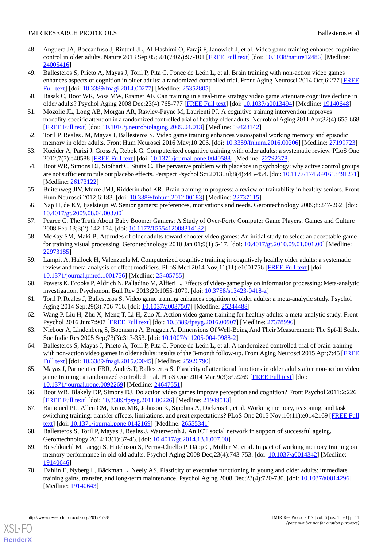- <span id="page-10-0"></span>48. Anguera JA, Boccanfuso J, Rintoul JL, Al-Hashimi O, Faraji F, Janowich J, et al. Video game training enhances cognitive control in older adults. Nature 2013 Sep 05;501(7465):97-101 [[FREE Full text](http://europepmc.org/abstract/MED/24005416)] [doi: [10.1038/nature12486\]](http://dx.doi.org/10.1038/nature12486) [Medline: [24005416](http://www.ncbi.nlm.nih.gov/entrez/query.fcgi?cmd=Retrieve&db=PubMed&list_uids=24005416&dopt=Abstract)]
- <span id="page-10-13"></span>49. Ballesteros S, Prieto A, Mayas J, Toril P, Pita C, Ponce de León L, et al. Brain training with non-action video games enhances aspects of cognition in older adults: a randomized controlled trial. Front Aging Neurosci 2014 Oct;6:277 [\[FREE](http://dx.doi.org/10.3389/fnagi.2014.00277) [Full text\]](http://dx.doi.org/10.3389/fnagi.2014.00277) [doi: [10.3389/fnagi.2014.00277](http://dx.doi.org/10.3389/fnagi.2014.00277)] [Medline: [25352805\]](http://www.ncbi.nlm.nih.gov/entrez/query.fcgi?cmd=Retrieve&db=PubMed&list_uids=25352805&dopt=Abstract)
- <span id="page-10-17"></span><span id="page-10-1"></span>50. Basak C, Boot WR, Voss MW, Kramer AF. Can training in a real-time strategy video game attenuate cognitive decline in older adults? Psychol Aging 2008 Dec;23(4):765-777 [\[FREE Full text\]](http://europepmc.org/abstract/MED/19140648) [doi: [10.1037/a0013494](http://dx.doi.org/10.1037/a0013494)] [Medline: [19140648](http://www.ncbi.nlm.nih.gov/entrez/query.fcgi?cmd=Retrieve&db=PubMed&list_uids=19140648&dopt=Abstract)]
- <span id="page-10-2"></span>51. Mozolic JL, Long AB, Morgan AR, Rawley-Payne M, Laurienti PJ. A cognitive training intervention improves modality-specific attention in a randomized controlled trial of healthy older adults. Neurobiol Aging 2011 Apr;32(4):655-668 [[FREE Full text](http://europepmc.org/abstract/MED/19428142)] [doi: [10.1016/j.neurobiolaging.2009.04.013](http://dx.doi.org/10.1016/j.neurobiolaging.2009.04.013)] [Medline: [19428142\]](http://www.ncbi.nlm.nih.gov/entrez/query.fcgi?cmd=Retrieve&db=PubMed&list_uids=19428142&dopt=Abstract)
- <span id="page-10-3"></span>52. Toril P, Reales JM, Mayas J, Ballesteros S. Video game training enhances visuospatial working memory and episodic memory in older adults. Front Hum Neurosci 2016 May;10:206. [doi: [10.3389/fnhum.2016.00206](http://dx.doi.org/10.3389/fnhum.2016.00206)] [Medline: [27199723\]](http://www.ncbi.nlm.nih.gov/entrez/query.fcgi?cmd=Retrieve&db=PubMed&list_uids=27199723&dopt=Abstract)
- <span id="page-10-4"></span>53. Kueider A, Parisi J, Gross A, Rebok G. Computerized cognitive training with older adults: a systematic review. PLoS One 2012;7(7):e40588 [\[FREE Full text](http://dx.plos.org/10.1371/journal.pone.0040588)] [doi: [10.1371/journal.pone.0040588\]](http://dx.doi.org/10.1371/journal.pone.0040588) [Medline: [22792378](http://www.ncbi.nlm.nih.gov/entrez/query.fcgi?cmd=Retrieve&db=PubMed&list_uids=22792378&dopt=Abstract)]
- <span id="page-10-5"></span>54. Boot WR, Simons DJ, Stothart C, Stutts C. The pervasive problem with placebos in psychology: why active control groups are not sufficient to rule out placebo effects. Perspect Psychol Sci 2013 Jul;8(4):445-454. [doi: [10.1177/1745691613491271\]](http://dx.doi.org/10.1177/1745691613491271) [Medline: [26173122](http://www.ncbi.nlm.nih.gov/entrez/query.fcgi?cmd=Retrieve&db=PubMed&list_uids=26173122&dopt=Abstract)]
- <span id="page-10-6"></span>55. Buitenweg JIV, Murre JMJ, Ridderinkhof KR. Brain training in progress: a review of trainability in healthy seniors. Front Hum Neurosci 2012;6:183. [doi: [10.3389/fnhum.2012.00183\]](http://dx.doi.org/10.3389/fnhum.2012.00183) [Medline: [22737115\]](http://www.ncbi.nlm.nih.gov/entrez/query.fcgi?cmd=Retrieve&db=PubMed&list_uids=22737115&dopt=Abstract)
- <span id="page-10-8"></span><span id="page-10-7"></span>56. Nap H, de KY, Ijselsteijn W. Senior gamers: preferences, motivations and needs. Gerontechnology 2009;8:247-262. [doi: [10.4017/gt.2009.08.04.003.00](http://dx.doi.org/10.4017/gt.2009.08.04.003.00)]
- 57. Pearce C. The Truth About Baby Boomer Gamers: A Study of Over-Forty Computer Game Players. Games and Culture 2008 Feb 13;3(2):142-174. [doi: [10.1177/1555412008314132\]](http://dx.doi.org/10.1177/1555412008314132)
- <span id="page-10-9"></span>58. McKay SM, Maki B. Attitudes of older adults toward shooter video games: An initial study to select an acceptable game for training visual processing. Gerontechnology 2010 Jan 01;9(1):5-17. [doi: [10.4017/gt.2010.09.01.001.00](http://dx.doi.org/10.4017/gt.2010.09.01.001.00)] [Medline: [22973185](http://www.ncbi.nlm.nih.gov/entrez/query.fcgi?cmd=Retrieve&db=PubMed&list_uids=22973185&dopt=Abstract)]
- <span id="page-10-22"></span><span id="page-10-10"></span>59. Lampit A, Hallock H, Valenzuela M. Computerized cognitive training in cognitively healthy older adults: a systematic review and meta-analysis of effect modifiers. PLoS Med 2014 Nov;11(11):e1001756 [[FREE Full text](http://dx.plos.org/10.1371/journal.pmed.1001756)] [doi: [10.1371/journal.pmed.1001756](http://dx.doi.org/10.1371/journal.pmed.1001756)] [Medline: [25405755](http://www.ncbi.nlm.nih.gov/entrez/query.fcgi?cmd=Retrieve&db=PubMed&list_uids=25405755&dopt=Abstract)]
- <span id="page-10-11"></span>60. Powers K, Brooks P, Aldrich N, Palladino M, Alfieri L. Effects of video-game play on information processing: Meta-analytic investigation. Psychonom Bull Rev 2013;20:1055-1079. [doi: [10.3758/s13423-0418-z](http://dx.doi.org/10.3758/s13423-0418-z)]
- <span id="page-10-12"></span>61. Toril P, Reales J, Ballesteros S. Video game training enhances cognition of older adults: a meta-analytic study. Psychol Aging 2014 Sep; 29(3): 706-716. [doi:  $10.1037 \times 100037507$ ] [Medline: [25244488\]](http://www.ncbi.nlm.nih.gov/entrez/query.fcgi?cmd=Retrieve&db=PubMed&list_uids=25244488&dopt=Abstract)
- <span id="page-10-14"></span>62. Wang P, Liu H, Zhu X, Meng T, Li H, Zuo X. Action video game training for healthy adults: a meta-analytic study. Front Psychol 2016 Jun;7:907 [\[FREE Full text\]](http://dx.doi.org/10.3389/fpsyg.2016.00907) [doi: [10.3389/fpsyg.2016.00907\]](http://dx.doi.org/10.3389/fpsyg.2016.00907) [Medline: [27378996](http://www.ncbi.nlm.nih.gov/entrez/query.fcgi?cmd=Retrieve&db=PubMed&list_uids=27378996&dopt=Abstract)]
- <span id="page-10-15"></span>63. Nieboer A, Lindenberg S, Boomsma A, Bruggen A. Dimensions Of Well-Being And Their Measurement: The Spf-Il Scale. Soc Indic Res 2005 Sep;73(3):313-353. [doi: [10.1007/s11205-004-0988-2](http://dx.doi.org/10.1007/s11205-004-0988-2)]
- <span id="page-10-16"></span>64. Ballesteros S, Mayas J, Prieto A, Toril P, Pita C, Ponce de León L, et al. A randomized controlled trial of brain training with non-action video games in older adults: results of the 3-month follow-up. Front Aging Neurosci 2015 Apr;7:45 [\[FREE](http://dx.doi.org/10.3389/fnagi.2015.00045) [Full text\]](http://dx.doi.org/10.3389/fnagi.2015.00045) [doi: [10.3389/fnagi.2015.00045](http://dx.doi.org/10.3389/fnagi.2015.00045)] [Medline: [25926790\]](http://www.ncbi.nlm.nih.gov/entrez/query.fcgi?cmd=Retrieve&db=PubMed&list_uids=25926790&dopt=Abstract)
- <span id="page-10-18"></span>65. Mayas J, Parmentier FBR, Andrés P, Ballesteros S. Plasticity of attentional functions in older adults after non-action video game training: a randomized controlled trial. PLoS One 2014 Mar;9(3):e92269 [\[FREE Full text\]](http://dx.plos.org/10.1371/journal.pone.0092269) [doi: [10.1371/journal.pone.0092269\]](http://dx.doi.org/10.1371/journal.pone.0092269) [Medline: [24647551](http://www.ncbi.nlm.nih.gov/entrez/query.fcgi?cmd=Retrieve&db=PubMed&list_uids=24647551&dopt=Abstract)]
- <span id="page-10-19"></span>66. Boot WR, Blakely DP, Simons DJ. Do action video games improve perception and cognition? Front Psychol 2011;2:226 [[FREE Full text](http://dx.doi.org/10.3389/fpsyg.2011.00226)] [doi: [10.3389/fpsyg.2011.00226\]](http://dx.doi.org/10.3389/fpsyg.2011.00226) [Medline: [21949513\]](http://www.ncbi.nlm.nih.gov/entrez/query.fcgi?cmd=Retrieve&db=PubMed&list_uids=21949513&dopt=Abstract)
- <span id="page-10-20"></span>67. Baniqued PL, Allen CM, Kranz MB, Johnson K, Sipolins A, Dickens C, et al. Working memory, reasoning, and task switching training: transfer effects, limitations, and great expectations? PLoS One 2015 Nov;10(11):e0142169 [[FREE Full](http://dx.plos.org/10.1371/journal.pone.0142169) [text](http://dx.plos.org/10.1371/journal.pone.0142169)] [doi: [10.1371/journal.pone.0142169\]](http://dx.doi.org/10.1371/journal.pone.0142169) [Medline: [26555341](http://www.ncbi.nlm.nih.gov/entrez/query.fcgi?cmd=Retrieve&db=PubMed&list_uids=26555341&dopt=Abstract)]
- <span id="page-10-21"></span>68. Ballesteros S, Toril P, Mayas J, Reales J, Waterworth J. An ICT social network in support of successful ageing. Gerontechnology 2014;13(1):37-46. [doi: [10.4017/gt.2014.13.1.007.00\]](http://dx.doi.org/10.4017/gt.2014.13.1.007.00)
- 69. Buschkuehl M, Jaeggi S, Hutchison S, Perrig-Chiello P, Däpp C, Müller M, et al. Impact of working memory training on memory performance in old-old adults. Psychol Aging 2008 Dec;23(4):743-753. [doi: [10.1037/a0014342\]](http://dx.doi.org/10.1037/a0014342) [Medline: [19140646](http://www.ncbi.nlm.nih.gov/entrez/query.fcgi?cmd=Retrieve&db=PubMed&list_uids=19140646&dopt=Abstract)]
- 70. Dahlin E, Nyberg L, Bäckman L, Neely AS. Plasticity of executive functioning in young and older adults: immediate training gains, transfer, and long-term maintenance. Psychol Aging 2008 Dec;23(4):720-730. [doi: [10.1037/a0014296\]](http://dx.doi.org/10.1037/a0014296) [Medline: [19140643](http://www.ncbi.nlm.nih.gov/entrez/query.fcgi?cmd=Retrieve&db=PubMed&list_uids=19140643&dopt=Abstract)]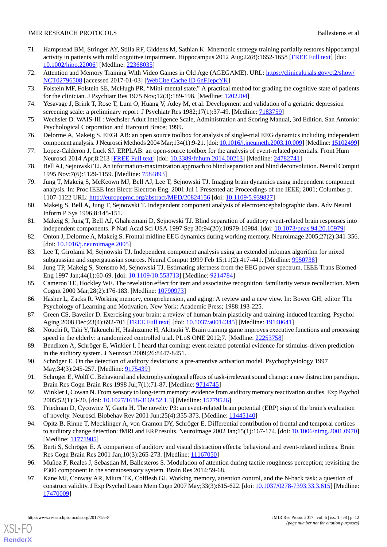- <span id="page-11-0"></span>71. Hampstead BM, Stringer AY, Stilla RF, Giddens M, Sathian K. Mnemonic strategy training partially restores hippocampal activity in patients with mild cognitive impairment. Hippocampus 2012 Aug;22(8):1652-1658 [\[FREE Full text\]](http://europepmc.org/abstract/MED/22368035) [doi: [10.1002/hipo.22006](http://dx.doi.org/10.1002/hipo.22006)] [Medline: [22368035\]](http://www.ncbi.nlm.nih.gov/entrez/query.fcgi?cmd=Retrieve&db=PubMed&list_uids=22368035&dopt=Abstract)
- <span id="page-11-2"></span><span id="page-11-1"></span>72. Attention and Memory Training With Video Games in Old Age (AGEGAME). URL: [https://clinicaltrials.gov/ct2/show/](https://clinicaltrials.gov/ct2/show/NCT02796508) [NCT02796508](https://clinicaltrials.gov/ct2/show/NCT02796508) [accessed 2017-01-03] [[WebCite Cache ID 6nFJepcYK](http://www.webcitation.org/

                                6nFJepcYK)]
- <span id="page-11-3"></span>73. Folstein MF, Folstein SE, McHugh PR. "Mini-mental state." A practical method for grading the cognitive state of patients for the clinician. J Psychiatr Res 1975 Nov;12(3):189-198. [Medline: [1202204](http://www.ncbi.nlm.nih.gov/entrez/query.fcgi?cmd=Retrieve&db=PubMed&list_uids=1202204&dopt=Abstract)]
- <span id="page-11-4"></span>74. Yesavage J, Brink T, Rose T, Lum O, Huang V, Adey M, et al. Development and validation of a geriatric depression screening scale: a preliminary report. J Psychiatr Res 1982;17(1):37-49. [Medline: [7183759\]](http://www.ncbi.nlm.nih.gov/entrez/query.fcgi?cmd=Retrieve&db=PubMed&list_uids=7183759&dopt=Abstract)
- <span id="page-11-5"></span>75. Wechsler D. WAIS-III : Wechsler Adult Intelligence Scale, Administration and Scoring Manual, 3rd Edition. San Antonio: Psychological Corporation and Harcourt Brace; 1999.
- <span id="page-11-6"></span>76. Delorme A, Makeig S. EEGLAB: an open source toolbox for analysis of single-trial EEG dynamics including independent component analysis. J Neurosci Methods 2004 Mar;134(1):9-21. [doi: [10.1016/j.jneumeth.2003.10.009\]](http://dx.doi.org/10.1016/j.jneumeth.2003.10.009) [Medline: [15102499\]](http://www.ncbi.nlm.nih.gov/entrez/query.fcgi?cmd=Retrieve&db=PubMed&list_uids=15102499&dopt=Abstract)
- <span id="page-11-7"></span>77. Lopez-Calderon J, Luck SJ. ERPLAB: an open-source toolbox for the analysis of event-related potentials. Front Hum Neurosci 2014 Apr;8:213 [[FREE Full text\]](http://dx.doi.org/10.3389/fnhum.2014.00213) [doi: [10.3389/fnhum.2014.00213\]](http://dx.doi.org/10.3389/fnhum.2014.00213) [Medline: [24782741](http://www.ncbi.nlm.nih.gov/entrez/query.fcgi?cmd=Retrieve&db=PubMed&list_uids=24782741&dopt=Abstract)]
- 78. Bell AJ, Sejnowski TJ. An information-maximization approach to blind separation and blind deconvolution. Neural Comput 1995 Nov;7(6):1129-1159. [Medline: [7584893\]](http://www.ncbi.nlm.nih.gov/entrez/query.fcgi?cmd=Retrieve&db=PubMed&list_uids=7584893&dopt=Abstract)
- 79. Jung T, Makeig S, McKeown MJ, Bell AJ, Lee T, Sejnowski TJ. Imaging brain dynamics using independent component analysis. In: Proc IEEE Inst Electr Electron Eng. 2001 Jul 1 Presented at: Proceedings of the IEEE; 2001; Columbus p. 1107-1122 URL: <http://europepmc.org/abstract/MED/20824156> [doi: [10.1109/5.939827\]](http://dx.doi.org/10.1109/5.939827)
- <span id="page-11-8"></span>80. Makeig S, Bell A, Jung T, Sejnowski T. Independent component analysis of electroencephalographic data. Adv Neural Inform P Sys 1996;8:145-151.
- <span id="page-11-9"></span>81. Makeig S, Jung T, Bell AJ, Ghahremani D, Sejnowski TJ. Blind separation of auditory event-related brain responses into independent components. P Natl Acad Sci USA 1997 Sep 30;94(20):10979-10984. [doi: [10.1073/pnas.94.20.10979](http://dx.doi.org/10.1073/pnas.94.20.10979)]
- <span id="page-11-10"></span>82. Onton J, Delorme A, Makeig S. Frontal midline EEG dynamics during working memory. Neuroimage 2005;27(2):341-356. [doi: 10.1016/*j.neuroimage.2005*]
- <span id="page-11-11"></span>83. Lee T, Girolami M, Sejnowski TJ. Independent component analysis using an extended infomax algorithm for mixed subgaussian and supergaussian sources. Neural Comput 1999 Feb 15;11(2):417-441. [Medline: [9950738](http://www.ncbi.nlm.nih.gov/entrez/query.fcgi?cmd=Retrieve&db=PubMed&list_uids=9950738&dopt=Abstract)]
- <span id="page-11-12"></span>84. Jung TP, Makeig S, Stensmo M, Sejnowski TJ. Estimating alertness from the EEG power spectrum. IEEE Trans Biomed Eng 1997 Jan; 44(1): 60-69. [doi: [10.1109/10.553713\]](http://dx.doi.org/10.1109/10.553713) [Medline: [9214784](http://www.ncbi.nlm.nih.gov/entrez/query.fcgi?cmd=Retrieve&db=PubMed&list_uids=9214784&dopt=Abstract)]
- <span id="page-11-13"></span>85. Cameron TE, Hockley WE. The revelation effect for item and associative recognition: familiarity versus recollection. Mem Cognit 2000 Mar;28(2):176-183. [Medline: [10790973\]](http://www.ncbi.nlm.nih.gov/entrez/query.fcgi?cmd=Retrieve&db=PubMed&list_uids=10790973&dopt=Abstract)
- <span id="page-11-14"></span>86. Hasher L, Zacks R. Working memory, comprehension, and aging: A review and a new view. In: Bower GH, editor. The Psychology of Learning and Motivation. New York: Academic Press; 1988:193-225.
- <span id="page-11-15"></span>87. Green CS, Bavelier D. Exercising your brain: a review of human brain plasticity and training-induced learning. Psychol Aging 2008 Dec;23(4):692-701 [\[FREE Full text](http://europepmc.org/abstract/MED/19140641)] [doi: [10.1037/a0014345](http://dx.doi.org/10.1037/a0014345)] [Medline: [19140641](http://www.ncbi.nlm.nih.gov/entrez/query.fcgi?cmd=Retrieve&db=PubMed&list_uids=19140641&dopt=Abstract)]
- <span id="page-11-16"></span>88. Nouchi R, Taki Y, Takeuchi H, Hashizume H, Akitsuki Y. Brain training game improves executive functions and processing speed in the elderly: a randomized controlled trial. PLoS ONE 2012;7. [Medline: [22253758](http://www.ncbi.nlm.nih.gov/entrez/query.fcgi?cmd=Retrieve&db=PubMed&list_uids=22253758&dopt=Abstract)]
- <span id="page-11-18"></span><span id="page-11-17"></span>89. Bendixen A, Schröger E, Winkler I. I heard that coming: event-related potential evidence for stimulus-driven prediction in the auditory system. J Neurosci 2009;26:8447-8451.
- <span id="page-11-19"></span>90. Schröger E. On the detection of auditory deviations: a pre-attentive activation model. Psychophysiology 1997 May; 34(3): 245-257. [Medline: [9175439](http://www.ncbi.nlm.nih.gov/entrez/query.fcgi?cmd=Retrieve&db=PubMed&list_uids=9175439&dopt=Abstract)]
- <span id="page-11-20"></span>91. Schröger E, Wolff C. Behavioral and electrophysiological effects of task-irrelevant sound change: a new distraction paradigm. Brain Res Cogn Brain Res 1998 Jul;7(1):71-87. [Medline: [9714745\]](http://www.ncbi.nlm.nih.gov/entrez/query.fcgi?cmd=Retrieve&db=PubMed&list_uids=9714745&dopt=Abstract)
- 92. Winkler I, Cowan N. From sensory to long-term memory: evidence from auditory memory reactivation studies. Exp Psychol 2005;52(1):3-20. [doi: [10.1027/1618-3169.52.1.3\]](http://dx.doi.org/10.1027/1618-3169.52.1.3) [Medline: [15779526](http://www.ncbi.nlm.nih.gov/entrez/query.fcgi?cmd=Retrieve&db=PubMed&list_uids=15779526&dopt=Abstract)]
- <span id="page-11-21"></span>93. Friedman D, Cycowicz Y, Gaeta H. The novelty P3: an event-related brain potential (ERP) sign of the brain's evaluation of novelty. Neurosci Biobehav Rev 2001 Jun;25(4):355-373. [Medline: [11445140\]](http://www.ncbi.nlm.nih.gov/entrez/query.fcgi?cmd=Retrieve&db=PubMed&list_uids=11445140&dopt=Abstract)
- <span id="page-11-23"></span><span id="page-11-22"></span>94. Opitz B, Rinne T, Mecklinger A, von Cramon DY, Schröger E. Differential contribution of frontal and temporal cortices to auditory change detection: fMRI and ERP results. Neuroimage 2002 Jan;15(1):167-174. [doi: [10.1006/nimg.2001.0970](http://dx.doi.org/10.1006/nimg.2001.0970)] [Medline: [11771985](http://www.ncbi.nlm.nih.gov/entrez/query.fcgi?cmd=Retrieve&db=PubMed&list_uids=11771985&dopt=Abstract)]
- 95. Berti S, Schröger E. A comparison of auditory and visual distraction effects: behavioral and event-related indices. Brain Res Cogn Brain Res 2001 Jan;10(3):265-273. [Medline: [11167050\]](http://www.ncbi.nlm.nih.gov/entrez/query.fcgi?cmd=Retrieve&db=PubMed&list_uids=11167050&dopt=Abstract)
- 96. Muñoz F, Reales J, Sebastian M, Ballesteros S. Modulation of attention during tactile roughness perception; revisiting the P300 component in the somatosensory system. Brain Res 2014:59-68.
- 97. Kane MJ, Conway AR, Miura TK, Colflesh GJ. Working memory, attention control, and the N-back task: a question of construct validity. J Exp Psychol Learn Mem Cogn 2007 May;33(3):615-622. [doi: [10.1037/0278-7393.33.3.615](http://dx.doi.org/10.1037/0278-7393.33.3.615)] [Medline: [17470009](http://www.ncbi.nlm.nih.gov/entrez/query.fcgi?cmd=Retrieve&db=PubMed&list_uids=17470009&dopt=Abstract)]